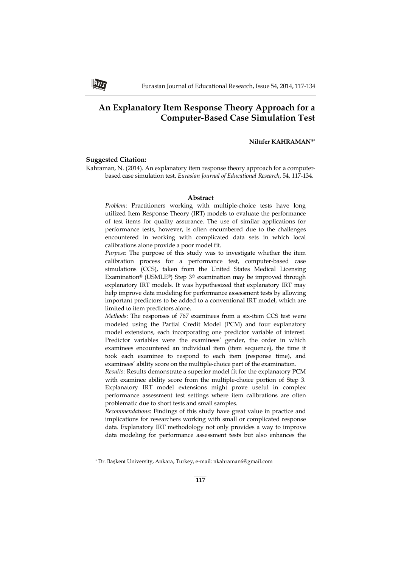# **An Explanatory Item Response Theory Approach for a Computer-Based Case Simulation Test**

**Nilüfer KAHRAMAN\*\***

## **Suggested Citation:**

Kahraman, N. (2014). An explanatory item response theory approach for a computerbased case simulation test, *Eurasian Journal of Educational Research*, 54, 117-134.

#### **Abstract**

Problem: Practitioners working with multiple-choice tests have long utilized Item Response Theory (IRT) models to evaluate the performance of test items for quality assurance. The use of similar applications for performance tests, however, is often encumbered due to the challenges encountered in working with complicated data sets in which local calibrations alone provide a poor model fit.

*Purpose*: The purpose of this study was to investigate whether the item calibration process for a performance test, computer-based case simulations (CCS), taken from the United States Medical Licensing Examination® (USMLE®) Step 3® examination may be improved through explanatory IRT models. It was hypothesized that explanatory IRT may help improve data modeling for performance assessment tests by allowing important predictors to be added to a conventional IRT model, which are limited to item predictors alone.

*Methods*: The responses of 767 examinees from a six-item CCS test were modeled using the Partial Credit Model (PCM) and four explanatory model extensions, each incorporating one predictor variable of interest. Predictor variables were the examinees' gender, the order in which examinees encountered an individual item (item sequence), the time it took each examinee to respond to each item (response time), and examinees' ability score on the multiple-choice part of the examination.

*Results*: Results demonstrate a superior model fit for the explanatory PCM with examinee ability score from the multiple-choice portion of Step 3. Explanatory IRT model extensions might prove useful in complex performance assessment test settings where item calibrations are often problematic due to short tests and small samples.

*Recommendations*: Findings of this study have great value in practice and implications for researchers working with small or complicated response data. Explanatory IRT methodology not only provides a way to improve data modeling for performance assessment tests but also enhances the

 $\overline{a}$ 

<sup>\*</sup> Dr. Başkent University, Ankara, Turkey, e-mail: nkahraman6@gmail.com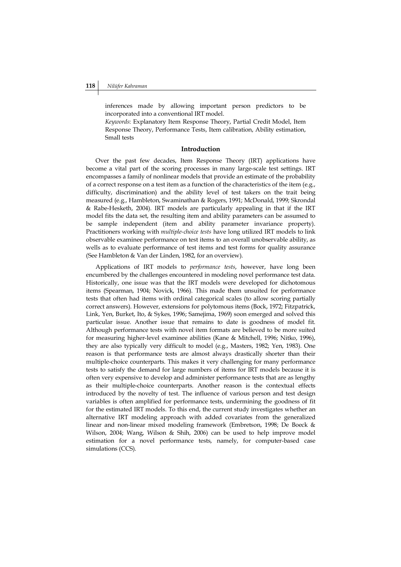inferences made by allowing important person predictors to be incorporated into a conventional IRT model.

*Keywords*: Explanatory Item Response Theory, Partial Credit Model, Item Response Theory, Performance Tests, Item calibration, Ability estimation, Small tests

#### **Introduction**

Over the past few decades, Item Response Theory (IRT) applications have become a vital part of the scoring processes in many large-scale test settings. IRT encompasses a family of nonlinear models that provide an estimate of the probability of a correct response on a test item as a function of the characteristics of the item (e.g., difficulty, discrimination) and the ability level of test takers on the trait being measured (e.g., Hambleton, Swaminathan & Rogers, 1991; McDonald, 1999; Skrondal & Rabe-Hesketh, 2004). IRT models are particularly appealing in that if the IRT model fits the data set, the resulting item and ability parameters can be assumed to be sample independent (item and ability parameter invariance property). Practitioners working with *multiple-choice tests* have long utilized IRT models to link observable examinee performance on test items to an overall unobservable ability, as wells as to evaluate performance of test items and test forms for quality assurance (See Hambleton & Van der Linden, 1982, for an overview).

Applications of IRT models to *performance tests*, however, have long been encumbered by the challenges encountered in modeling novel performance test data. Historically, one issue was that the IRT models were developed for dichotomous items (Spearman, 1904; Novick, 1966). This made them unsuited for performance tests that often had items with ordinal categorical scales (to allow scoring partially correct answers). However, extensions for polytomous items (Bock, 1972; Fitzpatrick, Link, Yen, Burket, Ito, & Sykes, 1996; Samejima, 1969) soon emerged and solved this particular issue. Another issue that remains to date is goodness of model fit. Although performance tests with novel item formats are believed to be more suited for measuring higher-level examinee abilities (Kane & Mitchell, 1996; Nitko, 1996), they are also typically very difficult to model (e.g., Masters, 1982; Yen, 1983). One reason is that performance tests are almost always drastically shorter than their multiple-choice counterparts. This makes it very challenging for many performance tests to satisfy the demand for large numbers of items for IRT models because it is often very expensive to develop and administer performance tests that are as lengthy as their multiple-choice counterparts. Another reason is the contextual effects introduced by the novelty of test. The influence of various person and test design variables is often amplified for performance tests, undermining the goodness of fit for the estimated IRT models. To this end, the current study investigates whether an alternative IRT modeling approach with added covariates from the generalized linear and non-linear mixed modeling framework (Embretson, 1998; De Boeck & Wilson, 2004; Wang, Wilson & Shih, 2006) can be used to help improve model estimation for a novel performance tests, namely, for computer-based case simulations (CCS).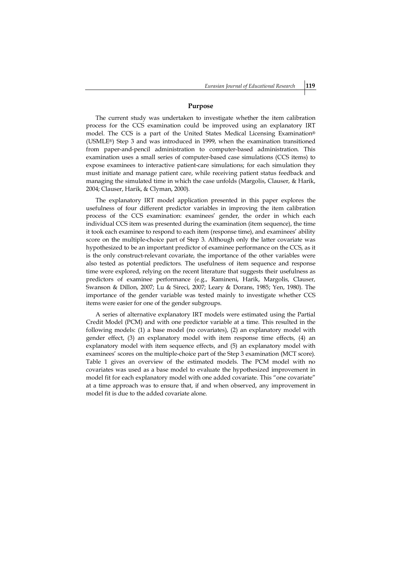## **Purpose**

The current study was undertaken to investigate whether the item calibration process for the CCS examination could be improved using an explanatory IRT model. The CCS is a part of the United States Medical Licensing Examination® (USMLE®) Step 3 and was introduced in 1999, when the examination transitioned from paper-and-pencil administration to computer-based administration. This examination uses a small series of computer-based case simulations (CCS items) to expose examinees to interactive patient-care simulations; for each simulation they must initiate and manage patient care, while receiving patient status feedback and managing the simulated time in which the case unfolds (Margolis, Clauser, & Harik, 2004; Clauser, Harik, & Clyman, 2000).

The explanatory IRT model application presented in this paper explores the usefulness of four different predictor variables in improving the item calibration process of the CCS examination: examinees' gender, the order in which each individual CCS item was presented during the examination (item sequence), the time it took each examinee to respond to each item (response time), and examinees' ability score on the multiple-choice part of Step 3. Although only the latter covariate was hypothesized to be an important predictor of examinee performance on the CCS, as it is the only construct-relevant covariate, the importance of the other variables were also tested as potential predictors. The usefulness of item sequence and response time were explored, relying on the recent literature that suggests their usefulness as predictors of examinee performance (e.g., Ramineni, Harik, Margolis, Clauser, Swanson & Dillon, 2007; Lu & Sireci, 2007; Leary & Dorans, 1985; Yen, 1980). The importance of the gender variable was tested mainly to investigate whether CCS items were easier for one of the gender subgroups.

A series of alternative explanatory IRT models were estimated using the Partial Credit Model (PCM) and with one predictor variable at a time. This resulted in the following models: (1) a base model (no covariates), (2) an explanatory model with gender effect, (3) an explanatory model with item response time effects, (4) an explanatory model with item sequence effects, and (5) an explanatory model with examinees' scores on the multiple-choice part of the Step 3 examination (MCT score). Table 1 gives an overview of the estimated models. The PCM model with no covariates was used as a base model to evaluate the hypothesized improvement in model fit for each explanatory model with one added covariate. This "one covariate" at a time approach was to ensure that, if and when observed, any improvement in model fit is due to the added covariate alone.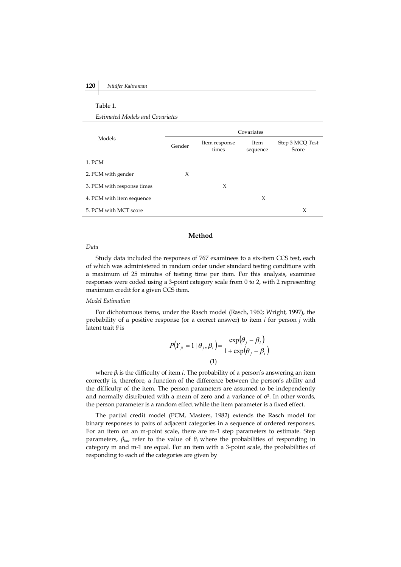| Table 1. |  |  |
|----------|--|--|
|          |  |  |

*Estimated Models and Covariates*

|                            | Covariates |                        |                  |                          |
|----------------------------|------------|------------------------|------------------|--------------------------|
| Models                     | Gender     | Item response<br>times | Item<br>sequence | Step 3 MCQ Test<br>Score |
| 1. PCM                     |            |                        |                  |                          |
| 2. PCM with gender         | X          |                        |                  |                          |
| 3. PCM with response times |            | X                      |                  |                          |
| 4. PCM with item sequence  |            |                        | X                |                          |
| 5. PCM with MCT score      |            |                        |                  | X                        |

#### **Method**

#### *Data*

Study data included the responses of 767 examinees to a six-item CCS test, each of which was administered in random order under standard testing conditions with a maximum of 25 minutes of testing time per item. For this analysis, examinee responses were coded using a 3-point category scale from 0 to 2, with 2 representing maximum credit for a given CCS item.

## *Model Estimation*

For dichotomous items, under the Rasch model (Rasch, 1960; Wright, 1997), the probability of a positive response (or a correct answer) to item *i* for person *j* with latent trait *θ* is

$$
P(Y_{ji} = 1 | \theta_j, \beta_i) = \frac{\exp(\theta_j - \beta_i)}{1 + \exp(\theta_j - \beta_i)}
$$
  
(1)

where  $\beta_i$  is the difficulty of item *i*. The probability of a person's answering an item correctly is, therefore, a function of the difference between the person's ability and the difficulty of the item. The person parameters are assumed to be independently and normally distributed with a mean of zero and a variance of  $\sigma^2$ . In other words, the person parameter is a random effect while the item parameter is a fixed effect.

The partial credit model (PCM, Masters, 1982) extends the Rasch model for binary responses to pairs of adjacent categories in a sequence of ordered responses. For an item on an m-point scale, there are m-1 step parameters to estimate. Step parameters,  $\beta_{im}$ , refer to the value of  $\theta_j$  where the probabilities of responding in category m and m-1 are equal. For an item with a 3-point scale, the probabilities of responding to each of the categories are given by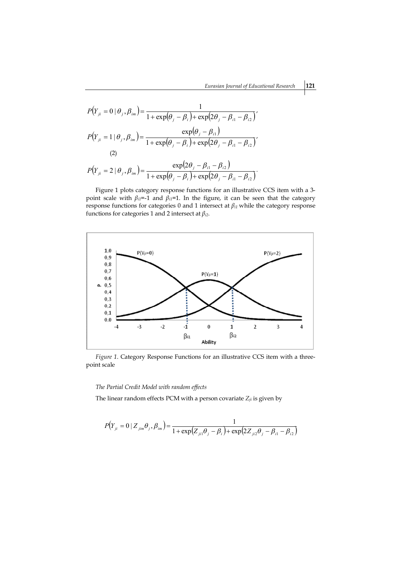$$
P(Y_{ji} = 0 | \theta_j, \beta_{im}) = \frac{1}{1 + \exp(\theta_j - \beta_i) + \exp(2\theta_j - \beta_{i1} - \beta_{i2})},
$$
  
\n
$$
P(Y_{ji} = 1 | \theta_j, \beta_{im}) = \frac{\exp(\theta_j - \beta_{i1})}{1 + \exp(\theta_j - \beta_i) + \exp(2\theta_j - \beta_{i1} - \beta_{i2})},
$$
  
\n(2)  
\n
$$
P(Y_{ji} = 2 | \theta_j, \beta_{im}) = \frac{\exp(2\theta_j - \beta_{i1} - \beta_{i2})}{1 + \exp(\theta_j - \beta_i) + \exp(2\theta_j - \beta_{i1} - \beta_{i2})}.
$$

Figure 1 plots category response functions for an illustrative CCS item with a 3 point scale with  $\beta_{i1}$ =-1 and  $\beta_{i1}$ =1. In the figure, it can be seen that the category response functions for categories 0 and 1 intersect at *βi1* while the category response functions for categories 1 and 2 intersect at *βi2*.



*Figure 1*. Category Response Functions for an illustrative CCS item with a threepoint scale

*The Partial Credit Model with random effects*

The linear random effects PCM with a person covariate  $Z_{ji}$  is given by

$$
P(Y_{ji} = 0 | Z_{jim} \theta_j, \beta_{im}) = \frac{1}{1 + \exp(Z_{ji1} \theta_j - \beta_i) + \exp(2Z_{ji2} \theta_j - \beta_{i1} - \beta_{i2})}
$$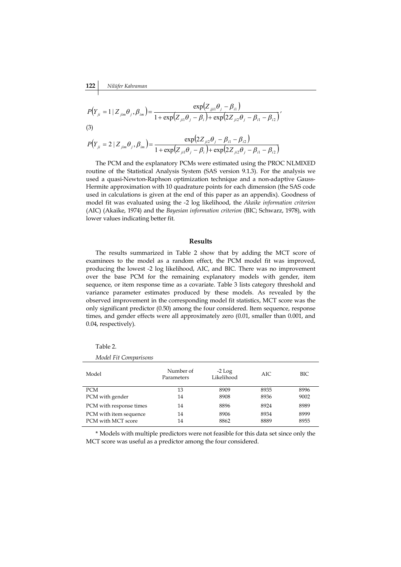$$
P(Y_{ji} = 1 | Z_{jin}\theta_j, \beta_{im}) = \frac{\exp(Z_{jji1}\theta_j - \beta_{i1})}{1 + \exp(Z_{ji1}\theta_j - \beta_i) + \exp(2Z_{ji2}\theta_j - \beta_{i1} - \beta_{i2})'}
$$
\n(3)

$$
P(Y_{ji} = 2 | Z_{jim} \theta_j, \beta_{im}) = \frac{\exp(2Z_{ji2}\theta_j - \beta_{i1} - \beta_{i2})}{1 + \exp(Z_{ji1}\theta_j - \beta_i) + \exp(2Z_{ji2}\theta_j - \beta_{i1} - \beta_{i2})}
$$

The PCM and the explanatory PCMs were estimated using the PROC NLMIXED routine of the Statistical Analysis System (SAS version 9.1.3). For the analysis we used a quasi-Newton-Raphson optimization technique and a non-adaptive Gauss-Hermite approximation with 10 quadrature points for each dimension (the SAS code used in calculations is given at the end of this paper as an appendix). Goodness of model fit was evaluated using the -2 log likelihood, the *Akaike information criterion* (AIC) (Akaike, 1974) and the *Bayesian information criterion* (BIC; Schwarz, 1978), with lower values indicating better fit.

#### **Results**

The results summarized in Table 2 show that by adding the MCT score of examinees to the model as a random effect, the PCM model fit was improved, producing the lowest -2 log likelihood, AIC, and BIC. There was no improvement over the base PCM for the remaining explanatory models with gender, item sequence, or item response time as a covariate. Table 3 lists category threshold and variance parameter estimates produced by these models. As revealed by the observed improvement in the corresponding model fit statistics, MCT score was the only significant predictor (0.50) among the four considered. Item sequence, response times, and gender effects were all approximately zero (0.01, smaller than 0.001, and 0.04, respectively).

| anie |  |
|------|--|
|------|--|

| <i>iviouel 1 a Comparisons</i>               |                         |                        |              |              |
|----------------------------------------------|-------------------------|------------------------|--------------|--------------|
| Model                                        | Number of<br>Parameters | $-2$ Log<br>Likelihood | AIC.         | BIC          |
| <b>PCM</b>                                   | 13                      | 8909                   | 8935         | 8996         |
| PCM with gender                              | 14                      | 8908                   | 8936         | 9002         |
| PCM with response times                      | 14                      | 8896                   | 8924         | 8989         |
| PCM with item sequence<br>PCM with MCT score | 14<br>14                | 8906<br>8862           | 8934<br>8889 | 8999<br>8955 |

*Model Fit Comparisons*

\* Models with multiple predictors were not feasible for this data set since only the MCT score was useful as a predictor among the four considered.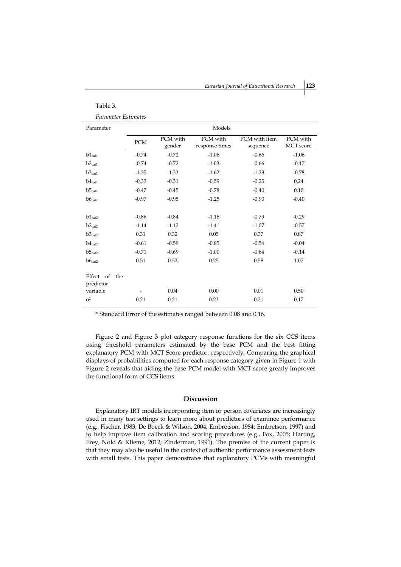| Eurasian Journal of Educational Research | 123 |  |
|------------------------------------------|-----|--|
|------------------------------------------|-----|--|

| Table 3.                      |            |                    |                            |                           |                              |
|-------------------------------|------------|--------------------|----------------------------|---------------------------|------------------------------|
| <b>Parameter Estimates</b>    |            |                    |                            |                           |                              |
| Parameter                     |            | Models             |                            |                           |                              |
|                               | <b>PCM</b> | PCM with<br>gender | PCM with<br>response times | PCM with item<br>sequence | PCM with<br><b>MCT</b> score |
| $b1_{cat1}$                   | $-0.74$    | $-0.72$            | $-1.06$                    | $-0.66$                   | $-1.06$                      |
| $b2_{cat1}$                   | $-0.74$    | $-0.72$            | $-1.03$                    | $-0.66$                   | $-0.17$                      |
| b3 <sub>cat1</sub>            | $-1.35$    | $-1.33$            | $-1.62$                    | $-1.28$                   | $-0.78$                      |
| b4 <sub>cat1</sub>            | $-0.33$    | $-0.31$            | $-0.59$                    | $-0.25$                   | 0.24                         |
| b5 <sub>cat1</sub>            | $-0.47$    | $-0.45$            | $-0.78$                    | $-0.40$                   | 0.10                         |
| b6 <sub>cat1</sub>            | $-0.97$    | $-0.95$            | $-1.25$                    | $-0.90$                   | $-0.40$                      |
|                               |            |                    |                            |                           |                              |
| $b1_{cat2}$                   | $-0.86$    | $-0.84$            | $-1.16$                    | $-0.79$                   | $-0.29$                      |
| $b2_{cat2}$                   | $-1.14$    | $-1.12$            | $-1.41$                    | $-1.07$                   | $-0.57$                      |
| b3 <sub>cat2</sub>            | 0.31       | 0.32               | 0.05                       | 0.37                      | 0.87                         |
| b4 <sub>cat2</sub>            | $-0.61$    | $-0.59$            | $-0.85$                    | $-0.54$                   | $-0.04$                      |
| b5 <sub>cat2</sub>            | $-0.71$    | $-0.69$            | $-1.00$                    | $-0.64$                   | $-0.14$                      |
| b6 <sub>cat2</sub>            | 0.51       | 0.52               | 0.25                       | 0.58                      | 1.07                         |
| Effect of<br>the<br>predictor |            |                    |                            |                           |                              |
| variable                      |            | 0.04               | 0.00                       | 0.01                      | 0.50                         |
| $\sigma^2$                    | 0.21       | 0.21               | 0.23                       | 0.21                      | 0.17                         |

\* Standard Error of the estimates ranged between 0.08 and 0.16.

Figure 2 and Figure 3 plot category response functions for the six CCS items using threshold parameters estimated by the base PCM and the best fitting explanatory PCM with MCT Score predictor, respectively. Comparing the graphical displays of probabilities computed for each response category given in Figure 1 with Figure 2 reveals that aiding the base PCM model with MCT score greatly improves the functional form of CCS items.

#### **Discussion**

Explanatory IRT models incorporating item or person covariates are increasingly used in many test settings to learn more about predictors of examinee performance (e.g., Fischer, 1983; De Boeck & Wilson, 2004; Embretson, 1984; Embretson, 1997) and to help improve item calibration and scoring procedures (e.g., Fox, 2005; Harting, Frey, Nold & Klieme, 2012; Zinderman, 1991). The premise of the current paper is that they may also be useful in the context of authentic performance assessment tests with small tests. This paper demonstrates that explanatory PCMs with meaningful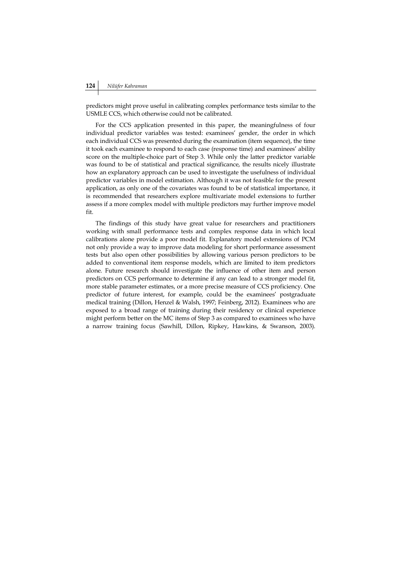predictors might prove useful in calibrating complex performance tests similar to the USMLE CCS, which otherwise could not be calibrated.

For the CCS application presented in this paper, the meaningfulness of four individual predictor variables was tested: examinees' gender, the order in which each individual CCS was presented during the examination (item sequence), the time it took each examinee to respond to each case (response time) and examinees' ability score on the multiple-choice part of Step 3. While only the latter predictor variable was found to be of statistical and practical significance, the results nicely illustrate how an explanatory approach can be used to investigate the usefulness of individual predictor variables in model estimation. Although it was not feasible for the present application, as only one of the covariates was found to be of statistical importance, it is recommended that researchers explore multivariate model extensions to further assess if a more complex model with multiple predictors may further improve model fit.

The findings of this study have great value for researchers and practitioners working with small performance tests and complex response data in which local calibrations alone provide a poor model fit. Explanatory model extensions of PCM not only provide a way to improve data modeling for short performance assessment tests but also open other possibilities by allowing various person predictors to be added to conventional item response models, which are limited to item predictors alone. Future research should investigate the influence of other item and person predictors on CCS performance to determine if any can lead to a stronger model fit, more stable parameter estimates, or a more precise measure of CCS proficiency. One predictor of future interest, for example, could be the examinees' postgraduate medical training (Dillon, Henzel & Walsh, 1997; Feinberg, 2012). Examinees who are exposed to a broad range of training during their residency or clinical experience might perform better on the MC items of Step 3 as compared to examinees who have a narrow training focus (Sawhill, Dillon, Ripkey, Hawkins, & Swanson, 2003).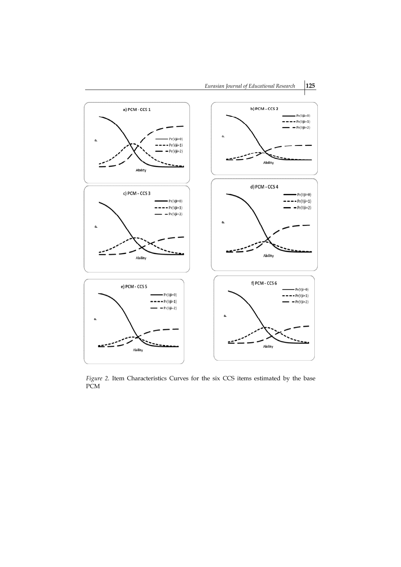

*Figure 2*. Item Characteristics Curves for the six CCS items estimated by the base PCM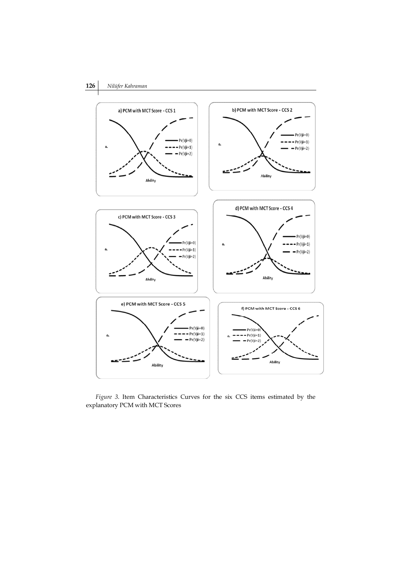

*Figure 3*. Item Characteristics Curves for the six CCS items estimated by the explanatory PCM with MCT Scores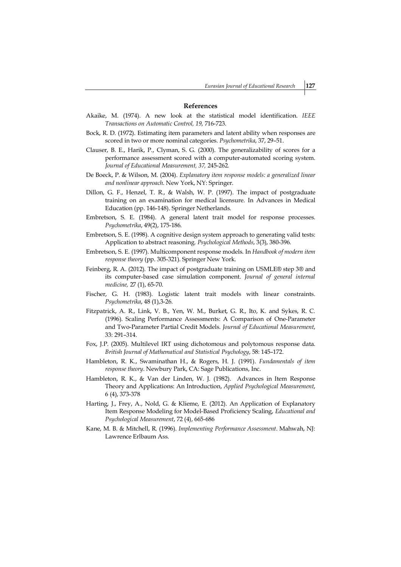## **References**

- Akaike, M. (1974). A new look at the statistical model identification. *IEEE Transactions on Automatic Control, 19*, 716-723.
- Bock, R. D. (1972). Estimating item parameters and latent ability when responses are scored in two or more nominal categories. *Psychometrika*, 37, 29–51.
- Clauser, B. E., Harik, P., Clyman, S. G. (2000). The generalizability of scores for a performance assessment scored with a computer-automated scoring system. *Journal of Educational Measurement, 37,* 245-262*.*
- De Boeck, P. & Wilson, M. (2004). *Explanatory item response models: a generalized linear and nonlinear approach*. New York, NY: Springer.
- Dillon, G. F., Henzel, T. R., & Walsh, W. P. (1997). The impact of postgraduate training on an examination for medical licensure. In Advances in Medical Education (pp. 146-148). Springer Netherlands.
- Embretson, S. E. (1984). A general latent trait model for response processes. *Psychometrika*, 49(2), 175-186.
- Embretson, S. E. (1998). A cognitive design system approach to generating valid tests: Application to abstract reasoning. *Psychological Methods*, 3(3), 380-396.
- Embretson, S. E. (1997). Multicomponent response models. In *Handbook of modern item response theory* (pp. 305-321). Springer New York.
- Feinberg, R. A. (2012). The impact of postgraduate training on USMLE® step 3® and its computer-based case simulation component. *Journal of general internal medicine,* 27 (1), 65-70.
- Fischer, G. H. (1983). Logistic latent trait models with linear constraints. *Psychometrika*, 48 (1),3-26.
- Fitzpatrick, A. R., Link, V. B., Yen, W. M., Burket, G. R., Ito, K. and Sykes, R. C. (1996). Scaling Performance Assessments: A Comparison of One-Parameter and Two-Parameter Partial Credit Models. *Journal of Educational Measurement*, 33: 291–314.
- Fox, J.P. (2005). Multilevel IRT using dichotomous and polytomous response data. *British Journal of Mathematical and Statistical Psychology*, 58: 145–172.
- Hambleton, R. K., Swaminathan H., & Rogers, H. J. (1991). *Fundamentals of item response theory*. Newbury Park, CA: Sage Publications, Inc.
- Hambleton, R. K., & Van der Linden, W. J. (1982). Advances in Item Response Theory and Applications: An Introduction, *Applied Psychological Measurement*, 6 (4), 373-378
- Harting, J., Frey, A., Nold, G. & Klieme, E. (2012). An Application of Explanatory Item Response Modeling for Model-Based Proficiency Scaling, *Educational and Psychological Measurement*, 72 (4), 665-686
- Kane, M. B. & Mitchell, R. (1996). *Implementing Performance Assessment*. Mahwah, NJ: Lawrence Erlbaum Ass.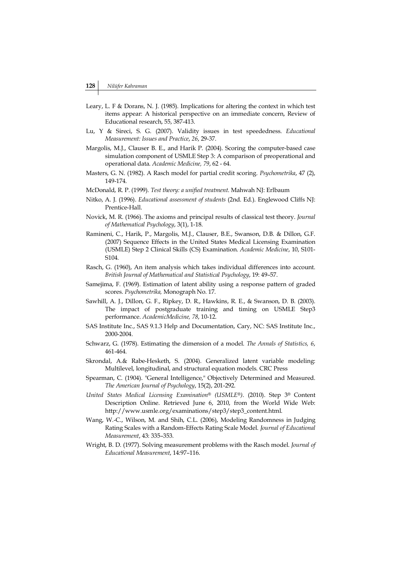- Leary, L. F & Dorans, N. J. (1985). Implications for altering the context in which test items appear: A historical perspective on an immediate concern, Review of Educational research, 55, 387-413.
- Lu, Y & Sireci, S. G. (2007). Validity issues in test speededness. *Educational Measurement: Issues and Practice*, *26*, 29-37.
- Margolis, M.J., Clauser B. E., and Harik P. (2004). Scoring the computer-based case simulation component of USMLE Step 3: A comparison of preoperational and operational data. *Academic Medicine, 79*, 62 - 64.
- Masters, G. N. (1982). A Rasch model for partial credit scoring. *Psychometrika*, 47 (2), 149-174.
- McDonald, R. P. (1999). *Test theory: a unified treatment*. Mahwah NJ: Erlbaum
- Nitko, A. J. (1996). *Educational assessment of students* (2nd. Ed.). Englewood Cliffs NJ: Prentice-Hall.
- Novick, M. R. (1966). The axioms and principal results of classical test theory. *Journal of Mathematical Psychology*, 3(1), 1-18.
- Ramineni, C., Harik, P., Margolis, M.J., Clauser, B.E., Swanson, D.B. & Dillon, G.F. (2007) Sequence Effects in the United States Medical Licensing Examination (USMLE) Step 2 Clinical Skills (CS) Examination. *Academic Medicine*, 10, S101- S104.
- Rasch, G. (1960), An item analysis which takes individual differences into account. *British Journal of Mathematical and Statistical Psychology*, 19: 49–57.
- Samejima, F. (1969). Estimation of latent ability using a response pattern of graded scores. *Psychometrika,* Monograph No. 17.
- Sawhill, A. J., Dillon, G. F., Ripkey, D. R., Hawkins, R. E., & Swanson, D. B. (2003). The impact of postgraduate training and timing on USMLE Step3 performance. *AcademicMedicine, 78*, 10-12.
- SAS Institute Inc., SAS 9.1.3 Help and Documentation, Cary, NC: SAS Institute Inc., 2000-2004.
- Schwarz, G. (1978). Estimating the dimension of a model. *The Annals of Statistics, 6*, 461-464.
- Skrondal, A.& Rabe-Hesketh, S. (2004). Generalized latent variable modeling: Multilevel, longitudinal, and structural equation models. CRC Press
- Spearman, C. (1904). "General Intelligence," Objectively Determined and Measured. *The American Journal of Psychology*, 15(2), 201-292.
- *United States Medical Licensing Examination® (USMLE®)*. (2010). Step 3® Content Description Online. Retrieved June 6, 2010, from the World Wide Web: http://www.usmle.org/examinations/step3/step3\_content.html.
- Wang, W.-C., Wilson, M. and Shih, C.L. (2006), Modeling Randomness in Judging Rating Scales with a Random-Effects Rating Scale Model. *Journal of Educational Measurement*, 43: 335–353.
- Wright, B. D. (1977). Solving measurement problems with the Rasch model. *Journal of Educational Measurement*, 14:97–116.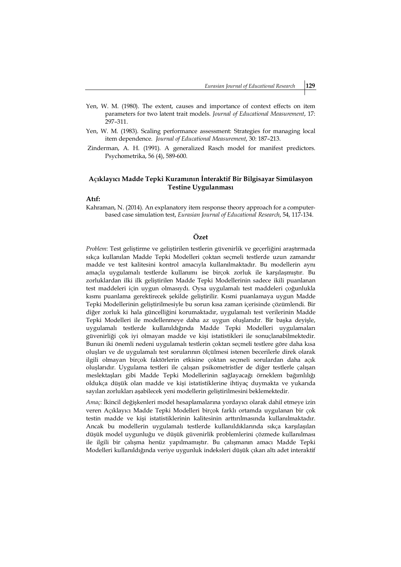- Yen, W. M. (1980). The extent, causes and importance of context effects on item parameters for two latent trait models. *Journal of Educational Measurement*, 17: 297–311.
- Yen, W. M. (1983). Scaling performance assessment: Strategies for managing local item dependence. *Journal of Educational Measurement*, 30: 187–213.
- Zinderman, A. H. (1991). A generalized Rasch model for manifest predictors. Psychometrika, 56 (4), 589-600.

## **Açıklayıcı Madde Tepki Kuramının İnteraktif Bir Bilgisayar Simülasyon Testine Uygulanması**

## **Atıf:**

Kahraman, N. (2014). An explanatory item response theory approach for a computerbased case simulation test, *Eurasian Journal of Educational Research*, 54, 117-134.

## **Özet**

*Problem*: Test geliştirme ve geliştirilen testlerin güvenirlik ve geçerliğini araştırmada sıkça kullanılan Madde Tepki Modelleri çoktan seçmeli testlerde uzun zamandır madde ve test kalitesini kontrol amacıyla kullanılmaktadır. Bu modellerin aynı amaçla uygulamalı testlerde kullanımı ise birçok zorluk ile karşılaşmıştır. Bu zorluklardan ilki ilk geliştirilen Madde Tepki Modellerinin sadece ikili puanlanan test maddeleri için uygun olmasıydı. Oysa uygulamalı test maddeleri çoğunlukla kısmı puanlama gerektirecek şekilde geliştirilir. Kısmi puanlamaya uygun Madde Tepki Modellerinin geliştirilmesiyle bu sorun kısa zaman içerisinde çözümlendi. Bir diğer zorluk ki hala güncelliğini korumaktadır, uygulamalı test verilerinin Madde Tepki Modelleri ile modellenmeye daha az uygun oluşlarıdır. Bir başka deyişle, uygulamalı testlerde kullanıldığında Madde Tepki Modelleri uygulamaları güvenirliği çok iyi olmayan madde ve kişi istatistikleri ile sonuçlanabilmektedir. Bunun iki önemli nedeni uygulamalı testlerin çoktan seçmeli testlere göre daha kısa oluşları ve de uygulamalı test sorularının ölçülmesi istenen becerilerle direk olarak ilgili olmayan birçok faktörlerin etkisine çoktan seçmeli sorulardan daha açık oluşlarıdır. Uygulama testleri ile çalışan psikometristler de diğer testlerle çalışan meslektaşları gibi Madde Tepki Modellerinin sağlayacağı örneklem bağımlılığı oldukça düşük olan madde ve kişi istatistiklerine ihtiyaç duymakta ve yukarıda sayılan zorlukları aşabilecek yeni modellerin geliştirilmesini beklemektedir.

*Amaç*: İkincil değişkenleri model hesaplamalarına yordayıcı olarak dahil etmeye izin veren Açıklayıcı Madde Tepki Modelleri birçok farklı ortamda uygulanan bir çok testin madde ve kişi istatistiklerinin kalitesinin arttırılmasında kullanılmaktadır. Ancak bu modellerin uygulamalı testlerde kullanıldıklarında sıkça karşılaşılan düşük model uygunluğu ve düşük güvenirlik problemlerini çözmede kullanılması ile ilgili bir çalışma henüz yapılmamıştır. Bu çalışmanın amacı Madde Tepki Modelleri kullanıldığında veriye uygunluk indeksleri düşük çıkan altı adet interaktif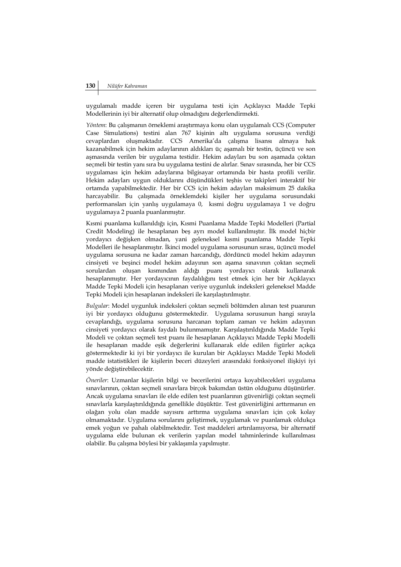uygulamalı madde içeren bir uygulama testi için Açıklayıcı Madde Tepki Modellerinin iyi bir alternatif olup olmadığını değerlendirmekti.

*Yöntem*: Bu çalışmanın örneklemi araştırmaya konu olan uygulamalı CCS (Computer Case Simulations) testini alan 767 kişinin altı uygulama sorusuna verdiği cevaplardan oluşmaktadır. CCS Amerika'da çalışma lisansı almaya hak kazanabilmek için hekim adaylarının aldıkları üç aşamalı bir testin, üçüncü ve son aşmasında verilen bir uygulama testidir. Hekim adayları bu son aşamada çoktan seçmeli bir testin yanı sıra bu uygulama testini de alırlar. Sınav sırasında, her bir CCS uygulaması için hekim adaylarına bilgisayar ortamında bir hasta profili verilir. Hekim adayları uygun olduklarını düşündükleri teşhis ve takipleri interaktif bir ortamda yapabilmektedir. Her bir CCS için hekim adayları maksimum 25 dakika harcayabilir. Bu çalışmada örneklemdeki kişiler her uygulama sorusundaki performansları için yanlış uygulamaya 0, kısmi doğru uygulamaya 1 ve doğru uygulamaya 2 puanla puanlanmıştır.

Kısmi puanlama kullanıldığı için, Kısmi Puanlama Madde Tepki Modelleri (Partial Credit Modeling) ile hesaplanan beş ayrı model kullanılmıştır. İlk model hiçbir yordayıcı değişken olmadan, yani geleneksel kısmi puanlama Madde Tepki Modelleri ile hesaplanmıştır. İkinci model uygulama sorusunun sırası, üçüncü model uygulama sorusuna ne kadar zaman harcandığı, dördüncü model hekim adayının cinsiyeti ve beşinci model hekim adayının son aşama sınavının çoktan seçmeli sorulardan oluşan kısmından aldığı puanı yordayıcı olarak kullanarak hesaplanmıştır. Her yordayıcının faydalılığını test etmek için her bir Açıklayıcı Madde Tepki Modeli için hesaplanan veriye uygunluk indeksleri geleneksel Madde Tepki Modeli için hesaplanan indeksleri ile karşılaştırılmıştır.

*Bulgular*: Model uygunluk indeksleri çoktan seçmeli bölümden alınan test puanının iyi bir yordayıcı olduğunu göstermektedir. Uygulama sorusunun hangi sırayla cevaplandığı, uygulama sorusuna harcanan toplam zaman ve hekim adayının cinsiyeti yordayıcı olarak faydalı bulunmamıştır. Karşılaştırıldığında Madde Tepki Modeli ve çoktan seçmeli test puanı ile hesaplanan Açıklayıcı Madde Tepki Modelli ile hesaplanan madde eşik değerlerini kullanarak elde edilen figürler açıkça göstermektedir ki iyi bir yordayıcı ile kurulan bir Açıklayıcı Madde Tepki Modeli madde istatistikleri ile kişilerin beceri düzeyleri arasındaki fonksiyonel ilişkiyi iyi yönde değiştirebilecektir.

*Öneriler*: Uzmanlar kişilerin bilgi ve becerilerini ortaya koyabilecekleri uygulama sınavlarının, çoktan seçmeli sınavlara birçok bakımdan üstün olduğunu düşünürler. Ancak uygulama sınavları ile elde edilen test puanlarının güvenirliği çoktan seçmeli sınavlarla karşılaştırıldığında genellikle düşüktür. Test güvenirliğini arttırmanın en olağan yolu olan madde sayısını arttırma uygulama sınavları için çok kolay olmamaktadır. Uygulama sorularını geliştirmek, uygulamak ve puanlamak oldukça emek yoğun ve pahalı olabilmektedir. Test maddeleri artırılamıyorsa, bir alternatif uygulama elde bulunan ek verilerin yapılan model tahminlerinde kullanılması olabilir. Bu çalışma böylesi bir yaklaşımla yapılmıştır.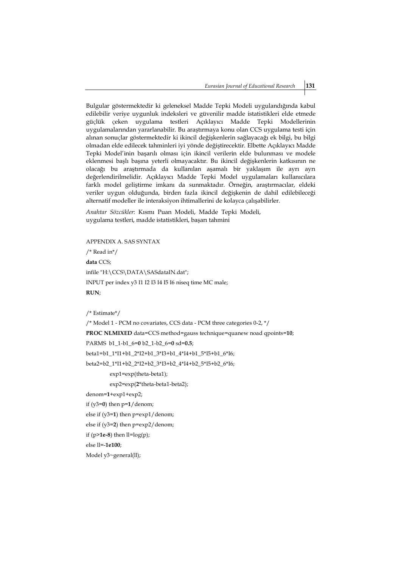Bulgular göstermektedir ki geleneksel Madde Tepki Modeli uygulandığında kabul edilebilir veriye uygunluk indeksleri ve güvenilir madde istatistikleri elde etmede güçlük çeken uygulama testleri Açıklayıcı Madde Tepki Modellerinin uygulamalarından yararlanabilir. Bu araştırmaya konu olan CCS uygulama testi için alınan sonuçlar göstermektedir ki ikincil değişkenlerin sağlayacağı ek bilgi, bu bilgi olmadan elde edilecek tahminleri iyi yönde değiştirecektir. Elbette Açıklayıcı Madde Tepki Model'inin başarılı olması için ikincil verilerin elde bulunması ve modele eklenmesi başlı başına yeterli olmayacaktır. Bu ikincil değişkenlerin katkısının ne olacağı bu araştırmada da kullanılan aşamalı bir yaklaşım ile ayrı ayrı değerlendirilmelidir. Açıklayıcı Madde Tepki Model uygulamaları kullanıcılara farklı model geliştirme imkanı da sunmaktadır. Örneğin, araştırmacılar, eldeki veriler uygun olduğunda, birden fazla ikincil değişkenin de dahil edilebileceği alternatif modeller ile interaksiyon ihtimallerini de kolayca çalışabilirler.

*Anahtar Sözcükler*: Kısmı Puan Modeli, Madde Tepki Modeli, uygulama testleri, madde istatistikleri, başarı tahmini

APPENDIX A. SAS SYNTAX

/\* Read in\*/ **data** CCS; infile "H:\CCS\DATA\SASdataIN.dat"; INPUT per index y3 I1 I2 I3 I4 I5 I6 niseq time MC male; **RUN**;

/\* Estimate\*/

/\* Model 1 - PCM no covariates, CCS data - PCM three categories 0-2, \*/

**PROC NLMIXED** data=CCS method=gauss technique=quanew noad qpoints=**10**;

PARMS b1\_1-b1\_6=**0** b2\_1-b2\_6=**0** sd=**0.5**;

beta1=b1\_1\*I1+b1\_2\*I2+b1\_3\*I3+b1\_4\*I4+b1\_5\*I5+b1\_6\*I6;

beta2=b2\_1\*I1+b2\_2\*I2+b2\_3\*I3+b2\_4\*I4+b2\_5\*I5+b2\_6\*I6;

exp1=exp(theta-beta1);

exp2=exp(**2**\*theta-beta1-beta2);

denom=**1**+exp1+exp2;

if  $(y3=0)$  then  $p=1$ /denom;

else if (y3=**1**) then p=exp1/denom;

else if (y3=**2**) then p=exp2/denom;

if  $(p>1e-8)$  then  $ll = log(p)$ ;

else ll=-**1e100**;

Model y3~general(ll);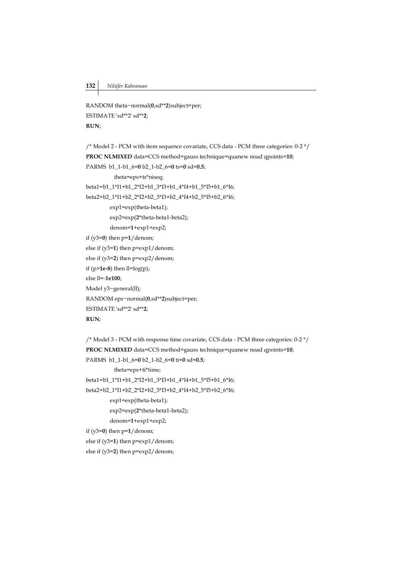```
RANDOM theta~normal(0,sd**2)subject=per;
ESTIMATE 'sd**2' sd**2;
RUN;
```
/\* Model 2 - PCM with item sequence covariate, CCS data - PCM three categories: 0-2 \*/ **PROC NLMIXED** data=CCS method=gauss technique=quanew noad qpoints=**10**; PARMS b1\_1-b1\_6=**0** b2\_1-b2\_6=**0** ts=**0** sd=**0.5**; theta=eps+ts\*niseq; beta1=b1\_1\*I1+b1\_2\*I2+b1\_3\*I3+b1\_4\*I4+b1\_5\*I5+b1\_6\*I6; beta2=b2\_1\*I1+b2\_2\*I2+b2\_3\*I3+b2\_4\*I4+b2\_5\*I5+b2\_6\*I6; exp1=exp(theta-beta1); exp2=exp(**2**\*theta-beta1-beta2); denom=**1**+exp1+exp2; if  $(y3=0)$  then  $p=1$ /denom; else if (y3=**1**) then p=exp1/denom; else if (y3=**2**) then p=exp2/denom; if  $(p>1e-8)$  then  $ll = log(p)$ ; else ll=-**1e100**; Model y3~general(ll); RANDOM eps~normal(**0**,sd\*\***2**)subject=per; ESTIMATE 'sd\*\*2' sd\*\***2**;

#### **RUN**;

```
/* Model 3 - PCM with response time covariate, CCS data - PCM three categories: 0-2 */
PROC NLMIXED data=CCS method=gauss technique=quanew noad qpoints=10;
PARMS b1_1-b1_6=0 b2_1-b2_6=0 ti=0 sd=0.5;
```

```
 theta=eps+ti*time;
beta1=b1_1*I1+b1_2*I2+b1_3*I3+b1_4*I4+b1_5*I5+b1_6*I6;
beta2=b2_1*I1+b2_2*I2+b2_3*I3+b2_4*I4+b2_5*I5+b2_6*I6;
        exp1=exp(theta-beta1);
        exp2=exp(2*theta-beta1-beta2);
        denom=1+exp1+exp2;
if (y3=0) then p=1/denom;
else if (y3=1) then p=exp1/denom;
```
else if (y3=**2**) then p=exp2/denom;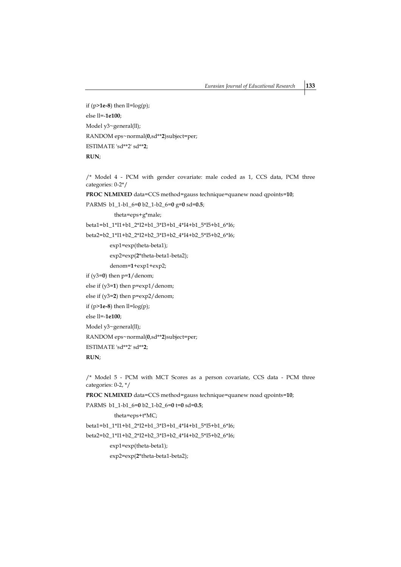if  $(p>1e-8)$  then  $ll = log(p)$ ; else ll=-**1e100**; Model y3~general(ll); RANDOM eps~normal(**0**,sd\*\***2**)subject=per; ESTIMATE 'sd\*\*2' sd\*\***2**; **RUN**;

/\* Model 4 - PCM with gender covariate: male coded as 1, CCS data, PCM three categories: 0-2\*/

**PROC NLMIXED** data=CCS method=gauss technique=quanew noad qpoints=**10**;

PARMS b1\_1-b1\_6=**0** b2\_1-b2\_6=**0** g=**0** sd=**0.5**;

theta=eps+g\*male;

beta1=b1\_1\*I1+b1\_2\*I2+b1\_3\*I3+b1\_4\*I4+b1\_5\*I5+b1\_6\*I6;

beta2=b2\_1\*I1+b2\_2\*I2+b2\_3\*I3+b2\_4\*I4+b2\_5\*I5+b2\_6\*I6;

exp1=exp(theta-beta1);

exp2=exp(**2**\*theta-beta1-beta2);

denom=**1**+exp1+exp2;

if  $(y3=0)$  then  $p=1$ /denom;

else if (y3=**1**) then p=exp1/denom;

else if (y3=**2**) then p=exp2/denom;

if  $(p>1e-8)$  then  $ll = log(p)$ ;

else ll=-**1e100**;

Model y3~general(ll);

RANDOM eps~normal(**0**,sd\*\***2**)subject=per;

ESTIMATE 'sd\*\*2' sd\*\***2**;

## **RUN**;

/\* Model 5 - PCM with MCT Scores as a person covariate, CCS data - PCM three categories: 0-2, \*/

**PROC NLMIXED** data=CCS method=gauss technique=quanew noad qpoints=**10**;

PARMS b1\_1-b1\_6=**0** b2\_1-b2\_6=**0** t=**0** sd=**0.5**;

theta=eps+t\*MC;

beta1=b1\_1\*I1+b1\_2\*I2+b1\_3\*I3+b1\_4\*I4+b1\_5\*I5+b1\_6\*I6;

beta2=b2\_1\*I1+b2\_2\*I2+b2\_3\*I3+b2\_4\*I4+b2\_5\*I5+b2\_6\*I6;

exp1=exp(theta-beta1);

exp2=exp(**2**\*theta-beta1-beta2);